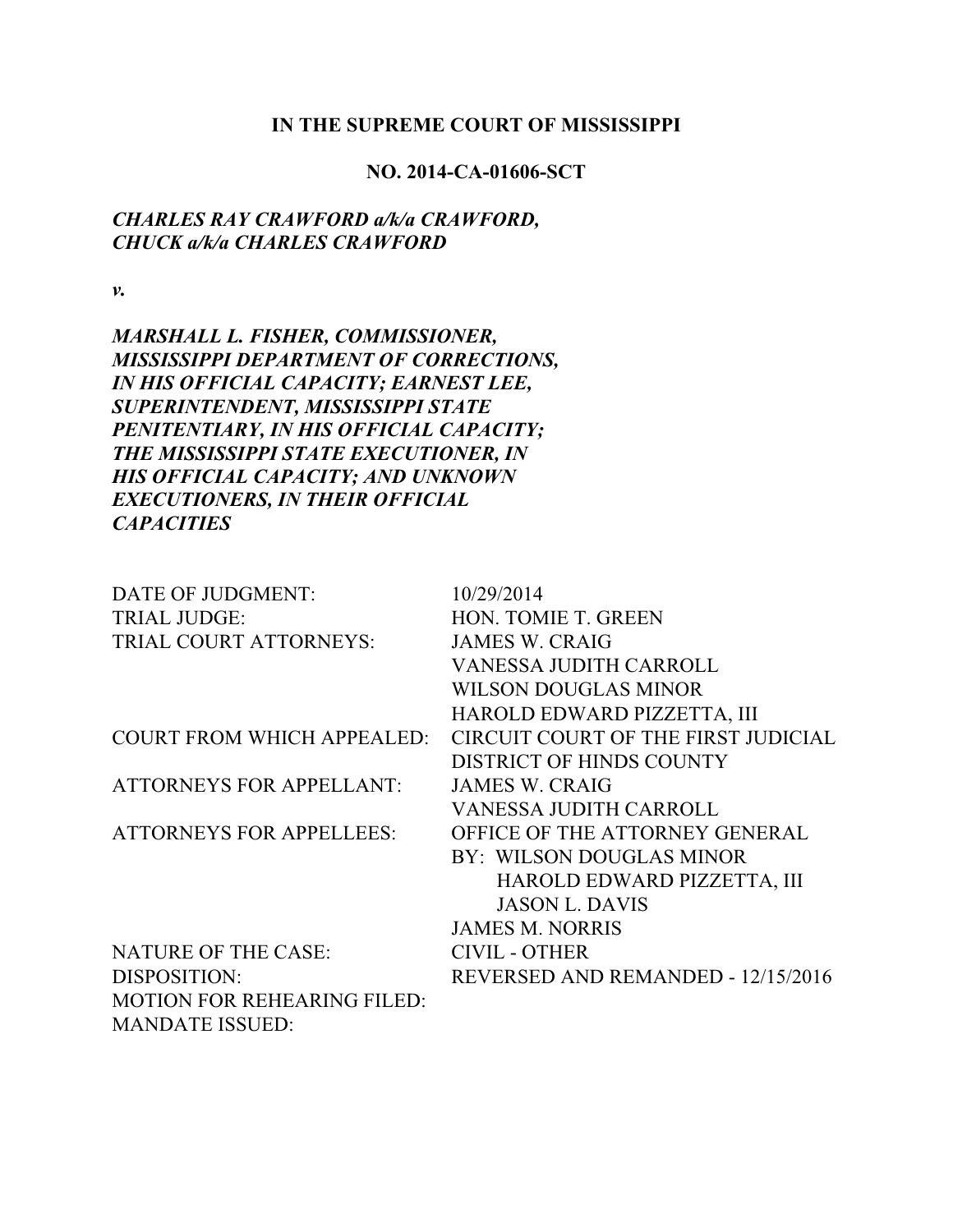#### **IN THE SUPREME COURT OF MISSISSIPPI**

### **NO. 2014-CA-01606-SCT**

## *CHARLES RAY CRAWFORD a/k/a CRAWFORD, CHUCK a/k/a CHARLES CRAWFORD*

*v.*

*MARSHALL L. FISHER, COMMISSIONER, MISSISSIPPI DEPARTMENT OF CORRECTIONS, IN HIS OFFICIAL CAPACITY; EARNEST LEE, SUPERINTENDENT, MISSISSIPPI STATE PENITENTIARY, IN HIS OFFICIAL CAPACITY; THE MISSISSIPPI STATE EXECUTIONER, IN HIS OFFICIAL CAPACITY; AND UNKNOWN EXECUTIONERS, IN THEIR OFFICIAL CAPACITIES*

| DATE OF JUDGMENT:                  | 10/29/2014                          |
|------------------------------------|-------------------------------------|
| <b>TRIAL JUDGE:</b>                | HON. TOMIE T. GREEN                 |
| TRIAL COURT ATTORNEYS:             | <b>JAMES W. CRAIG</b>               |
|                                    | <b>VANESSA JUDITH CARROLL</b>       |
|                                    | <b>WILSON DOUGLAS MINOR</b>         |
|                                    | HAROLD EDWARD PIZZETTA, III         |
| <b>COURT FROM WHICH APPEALED:</b>  | CIRCUIT COURT OF THE FIRST JUDICIAL |
|                                    | <b>DISTRICT OF HINDS COUNTY</b>     |
| <b>ATTORNEYS FOR APPELLANT:</b>    | <b>JAMES W. CRAIG</b>               |
|                                    | <b>VANESSA JUDITH CARROLL</b>       |
| <b>ATTORNEYS FOR APPELLEES:</b>    | OFFICE OF THE ATTORNEY GENERAL      |
|                                    | BY: WILSON DOUGLAS MINOR            |
|                                    | HAROLD EDWARD PIZZETTA, III         |
|                                    | <b>JASON L. DAVIS</b>               |
|                                    | <b>JAMES M. NORRIS</b>              |
| <b>NATURE OF THE CASE:</b>         | <b>CIVIL - OTHER</b>                |
| DISPOSITION:                       | REVERSED AND REMANDED - 12/15/2016  |
| <b>MOTION FOR REHEARING FILED:</b> |                                     |

MANDATE ISSUED: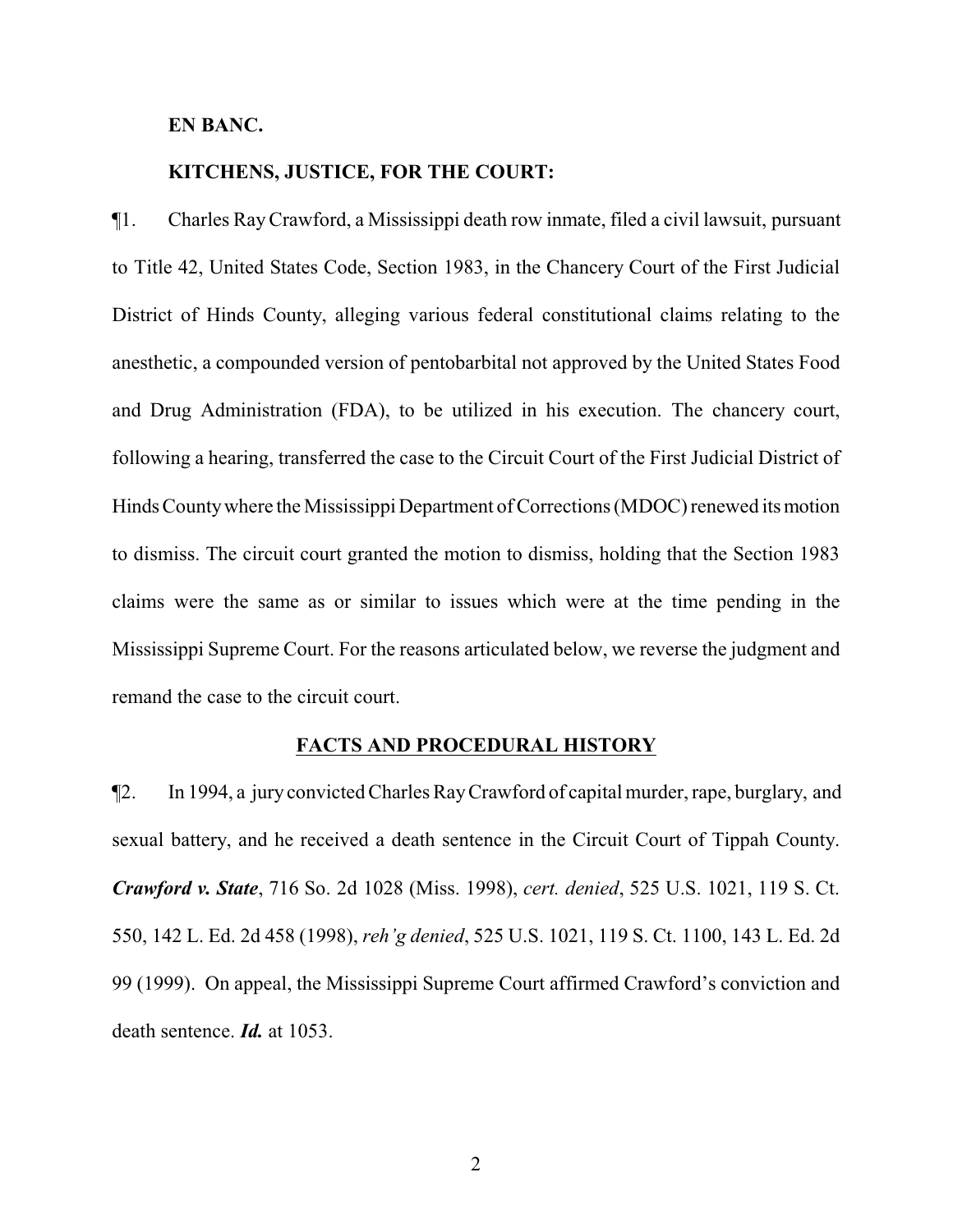### **EN BANC.**

### **KITCHENS, JUSTICE, FOR THE COURT:**

¶1. Charles RayCrawford, a Mississippi death row inmate, filed a civil lawsuit, pursuant to Title 42, United States Code, Section 1983, in the Chancery Court of the First Judicial District of Hinds County, alleging various federal constitutional claims relating to the anesthetic, a compounded version of pentobarbital not approved by the United States Food and Drug Administration (FDA), to be utilized in his execution. The chancery court, following a hearing, transferred the case to the Circuit Court of the First Judicial District of Hinds County where the Mississippi Department of Corrections (MDOC) renewed its motion to dismiss. The circuit court granted the motion to dismiss, holding that the Section 1983 claims were the same as or similar to issues which were at the time pending in the Mississippi Supreme Court. For the reasons articulated below, we reverse the judgment and remand the case to the circuit court.

#### **FACTS AND PROCEDURAL HISTORY**

¶2. In 1994, a jury convicted Charles RayCrawford of capital murder, rape, burglary, and sexual battery, and he received a death sentence in the Circuit Court of Tippah County. *Crawford v. State*, 716 So. 2d 1028 (Miss. 1998), *cert. denied*, 525 U.S. 1021, 119 S. Ct. 550, 142 L. Ed. 2d 458 (1998), *reh'g denied*, 525 U.S. 1021, 119 S. Ct. 1100, 143 L. Ed. 2d 99 (1999). On appeal, the Mississippi Supreme Court affirmed Crawford's conviction and death sentence. *Id.* at 1053.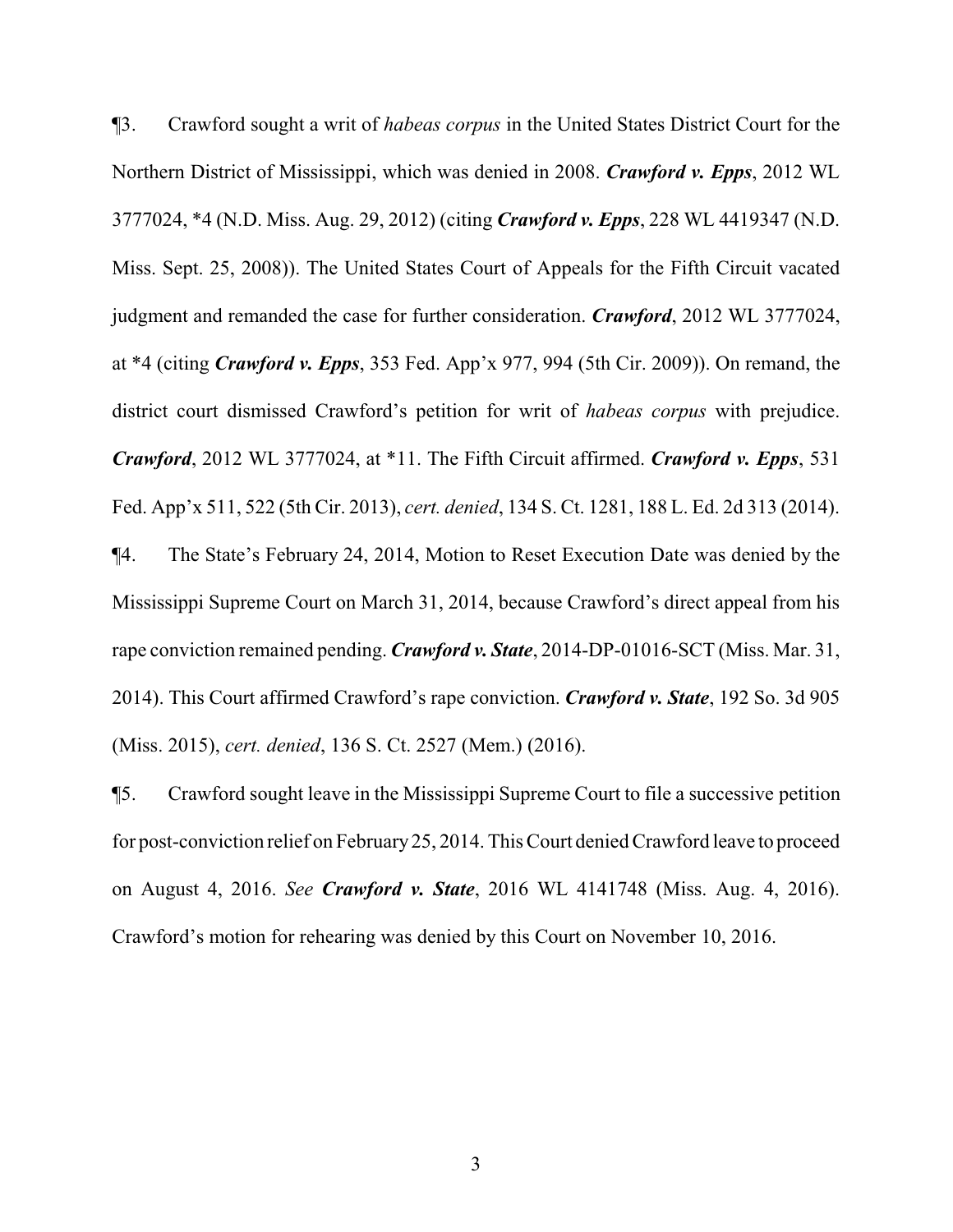¶3. Crawford sought a writ of *habeas corpus* in the United States District Court for the Northern District of Mississippi, which was denied in 2008. *Crawford v. Epps*, 2012 WL 3777024, \*4 (N.D. Miss. Aug. 29, 2012) (citing *Crawford v. Epps*, 228 WL 4419347 (N.D. Miss. Sept. 25, 2008)). The United States Court of Appeals for the Fifth Circuit vacated judgment and remanded the case for further consideration. *Crawford*, 2012 WL 3777024, at \*4 (citing *Crawford v. Epps*, 353 Fed. App'x 977, 994 (5th Cir. 2009)). On remand, the district court dismissed Crawford's petition for writ of *habeas corpus* with prejudice. *Crawford*, 2012 WL 3777024, at \*11. The Fifth Circuit affirmed. *Crawford v. Epps*, 531 Fed. App'x 511, 522 (5th Cir. 2013), *cert. denied*, 134 S. Ct. 1281, 188 L. Ed. 2d 313 (2014). ¶4. The State's February 24, 2014, Motion to Reset Execution Date was denied by the Mississippi Supreme Court on March 31, 2014, because Crawford's direct appeal from his rape conviction remained pending. *Crawford v. State*, 2014-DP-01016-SCT (Miss. Mar. 31, 2014). This Court affirmed Crawford's rape conviction. *Crawford v. State*, 192 So. 3d 905 (Miss. 2015), *cert. denied*, 136 S. Ct. 2527 (Mem.) (2016).

¶5. Crawford sought leave in the Mississippi Supreme Court to file a successive petition for post-conviction relief on February25, 2014. This Court denied Crawford leave to proceed on August 4, 2016. *See Crawford v. State*, 2016 WL 4141748 (Miss. Aug. 4, 2016). Crawford's motion for rehearing was denied by this Court on November 10, 2016.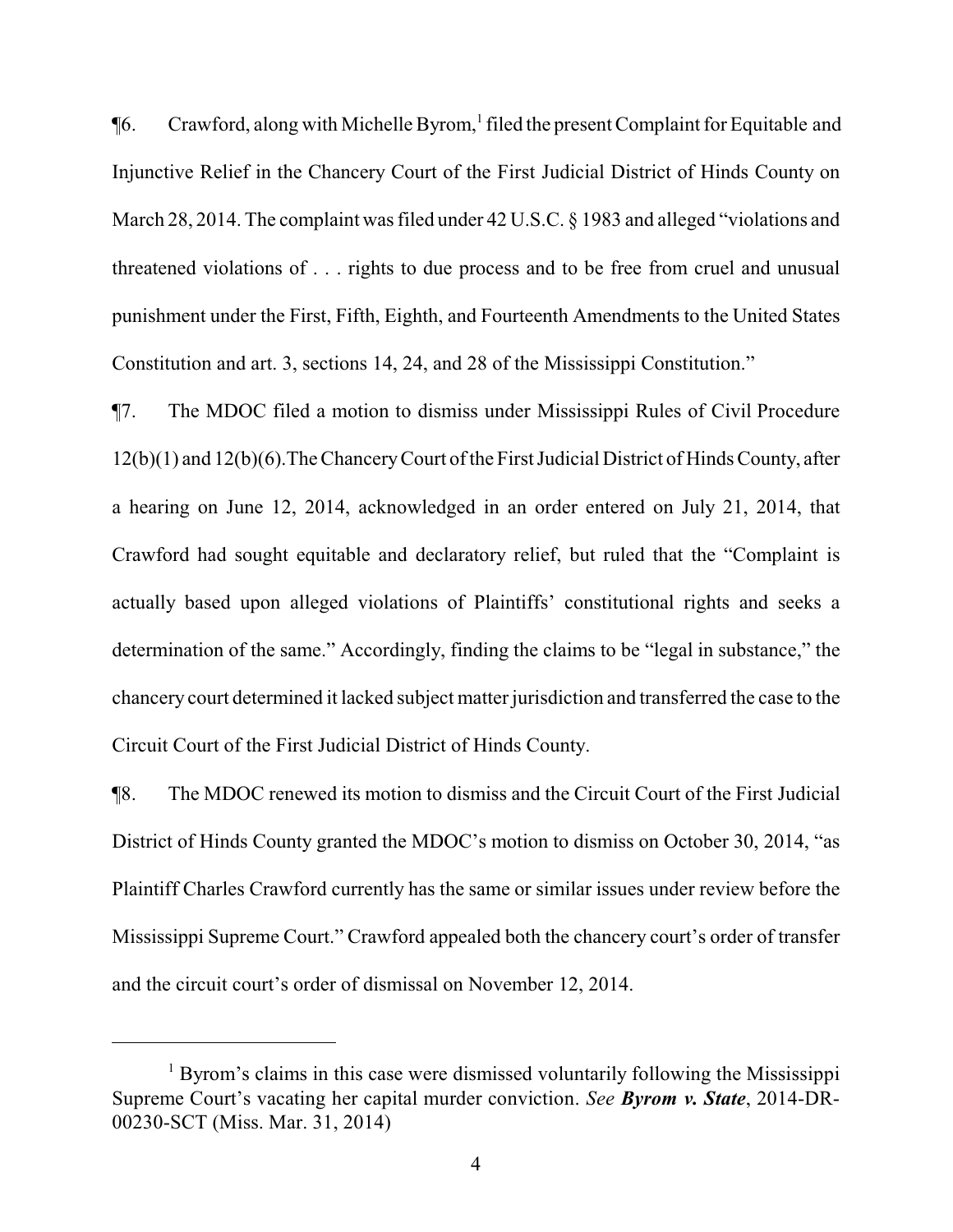¶6. Crawford, along with Michelle Byrom, 1 filed the present Complaint for Equitable and Injunctive Relief in the Chancery Court of the First Judicial District of Hinds County on March 28, 2014. The complaint was filed under 42 U.S.C. § 1983 and alleged "violations and threatened violations of . . . rights to due process and to be free from cruel and unusual punishment under the First, Fifth, Eighth, and Fourteenth Amendments to the United States Constitution and art. 3, sections 14, 24, and 28 of the Mississippi Constitution."

¶7. The MDOC filed a motion to dismiss under Mississippi Rules of Civil Procedure 12(b)(1) and 12(b)(6). The Chancery Court of the First Judicial District of Hinds County, after a hearing on June 12, 2014, acknowledged in an order entered on July 21, 2014, that Crawford had sought equitable and declaratory relief, but ruled that the "Complaint is actually based upon alleged violations of Plaintiffs' constitutional rights and seeks a determination of the same." Accordingly, finding the claims to be "legal in substance," the chancery court determined it lacked subject matter jurisdiction and transferred the case to the Circuit Court of the First Judicial District of Hinds County.

¶8. The MDOC renewed its motion to dismiss and the Circuit Court of the First Judicial District of Hinds County granted the MDOC's motion to dismiss on October 30, 2014, "as Plaintiff Charles Crawford currently has the same or similar issues under review before the Mississippi Supreme Court." Crawford appealed both the chancery court's order of transfer and the circuit court's order of dismissal on November 12, 2014.

<sup>&</sup>lt;sup>1</sup> Byrom's claims in this case were dismissed voluntarily following the Mississippi Supreme Court's vacating her capital murder conviction. *See Byrom v. State*, 2014-DR-00230-SCT (Miss. Mar. 31, 2014)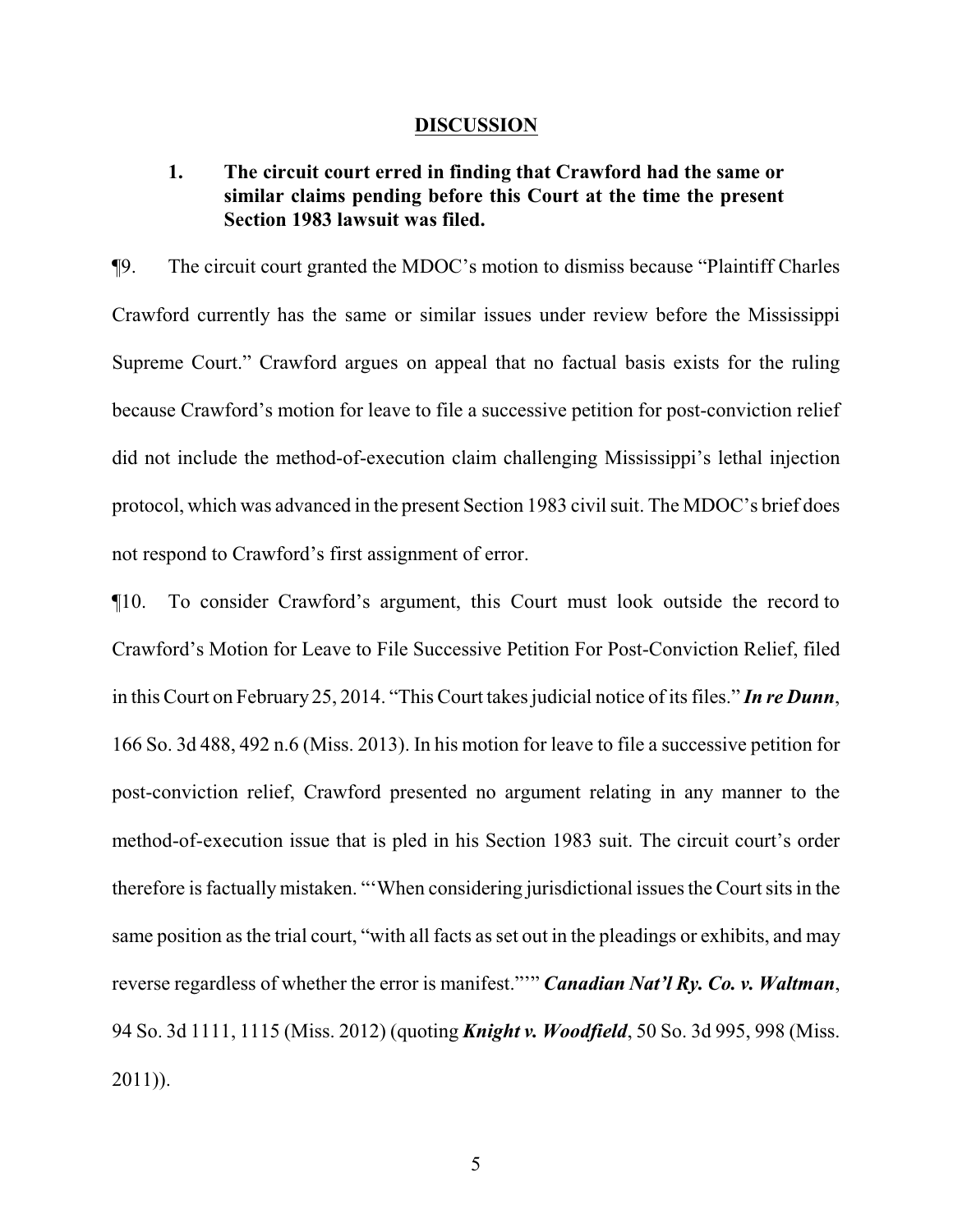#### **DISCUSSION**

# **1. The circuit court erred in finding that Crawford had the same or similar claims pending before this Court at the time the present Section 1983 lawsuit was filed.**

¶9. The circuit court granted the MDOC's motion to dismiss because "Plaintiff Charles Crawford currently has the same or similar issues under review before the Mississippi Supreme Court." Crawford argues on appeal that no factual basis exists for the ruling because Crawford's motion for leave to file a successive petition for post-conviction relief did not include the method-of-execution claim challenging Mississippi's lethal injection protocol, which was advanced in the present Section 1983 civil suit. The MDOC's brief does not respond to Crawford's first assignment of error.

¶10. To consider Crawford's argument, this Court must look outside the record to Crawford's Motion for Leave to File Successive Petition For Post-Conviction Relief, filed in this Court on February 25, 2014. "This Court takes judicial notice of its files." *In re Dunn*, 166 So. 3d 488, 492 n.6 (Miss. 2013). In his motion for leave to file a successive petition for post-conviction relief, Crawford presented no argument relating in any manner to the method-of-execution issue that is pled in his Section 1983 suit. The circuit court's order therefore is factually mistaken. "'When considering jurisdictional issues the Court sits in the same position as the trial court, "with all facts as set out in the pleadings or exhibits, and may reverse regardless of whether the error is manifest."'" *Canadian Nat'l Ry. Co. v. Waltman*, 94 So. 3d 1111, 1115 (Miss. 2012) (quoting *Knight v. Woodfield*, 50 So. 3d 995, 998 (Miss. 2011)).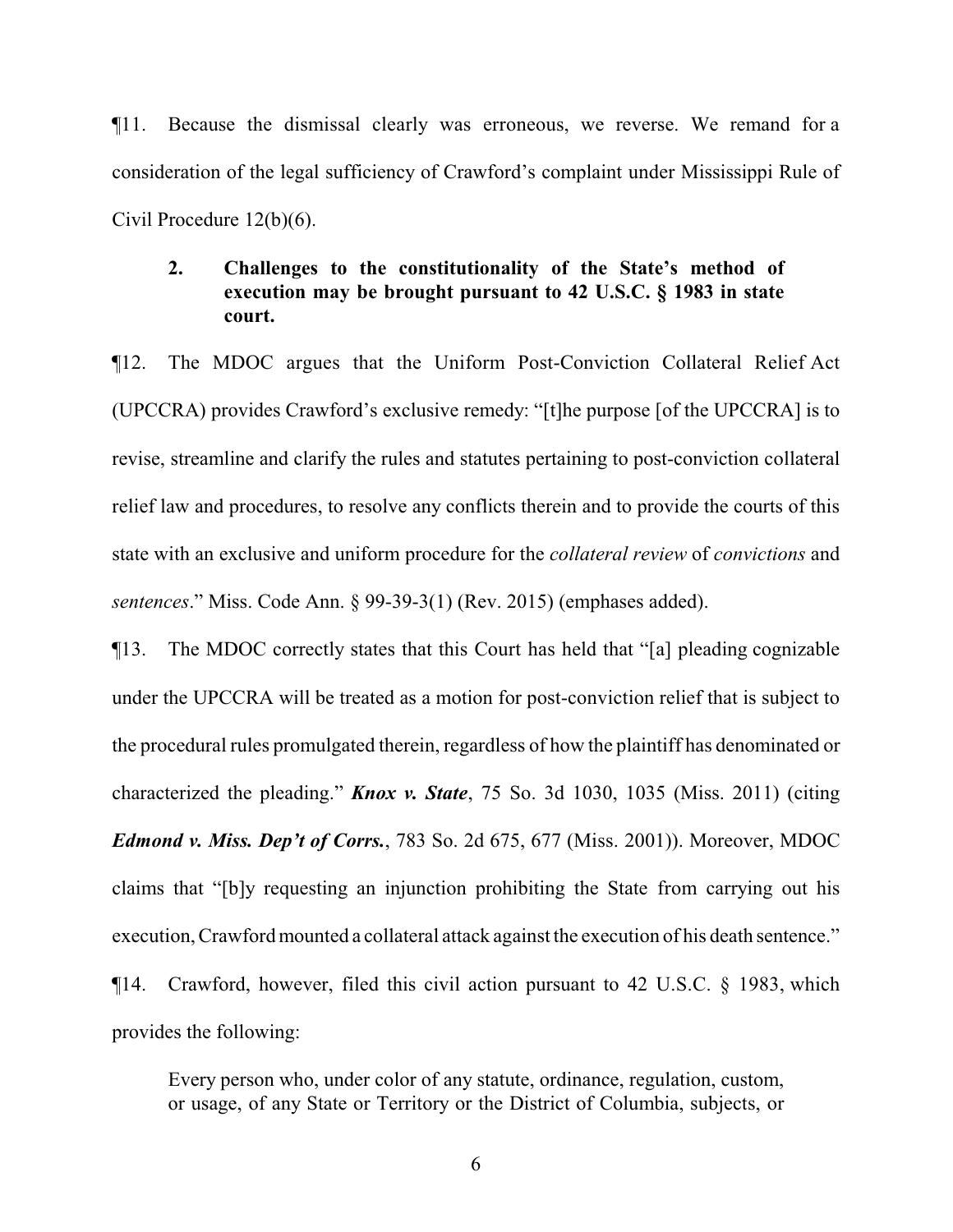¶11. Because the dismissal clearly was erroneous, we reverse. We remand for a consideration of the legal sufficiency of Crawford's complaint under Mississippi Rule of Civil Procedure 12(b)(6).

# **2. Challenges to the constitutionality of the State's method of execution may be brought pursuant to 42 U.S.C. § 1983 in state court.**

¶12. The MDOC argues that the Uniform Post-Conviction Collateral Relief Act (UPCCRA) provides Crawford's exclusive remedy: "[t]he purpose [of the UPCCRA] is to revise, streamline and clarify the rules and statutes pertaining to post-conviction collateral relief law and procedures, to resolve any conflicts therein and to provide the courts of this state with an exclusive and uniform procedure for the *collateral review* of *convictions* and *sentences*." Miss. Code Ann. § 99-39-3(1) (Rev. 2015) (emphases added).

¶13. The MDOC correctly states that this Court has held that "[a] pleading cognizable under the UPCCRA will be treated as a motion for post-conviction relief that is subject to the procedural rules promulgated therein, regardless of how the plaintiff has denominated or characterized the pleading." *Knox v. State*, 75 So. 3d 1030, 1035 (Miss. 2011) (citing *Edmond v. Miss. Dep't of Corrs.*, 783 So. 2d 675, 677 (Miss. 2001)). Moreover, MDOC claims that "[b]y requesting an injunction prohibiting the State from carrying out his execution, Crawford mounted a collateral attack against the execution of his death sentence." ¶14. Crawford, however, filed this civil action pursuant to 42 U.S.C. § 1983, which provides the following:

Every person who, under color of any statute, ordinance, regulation, custom, or usage, of any State or Territory or the District of Columbia, subjects, or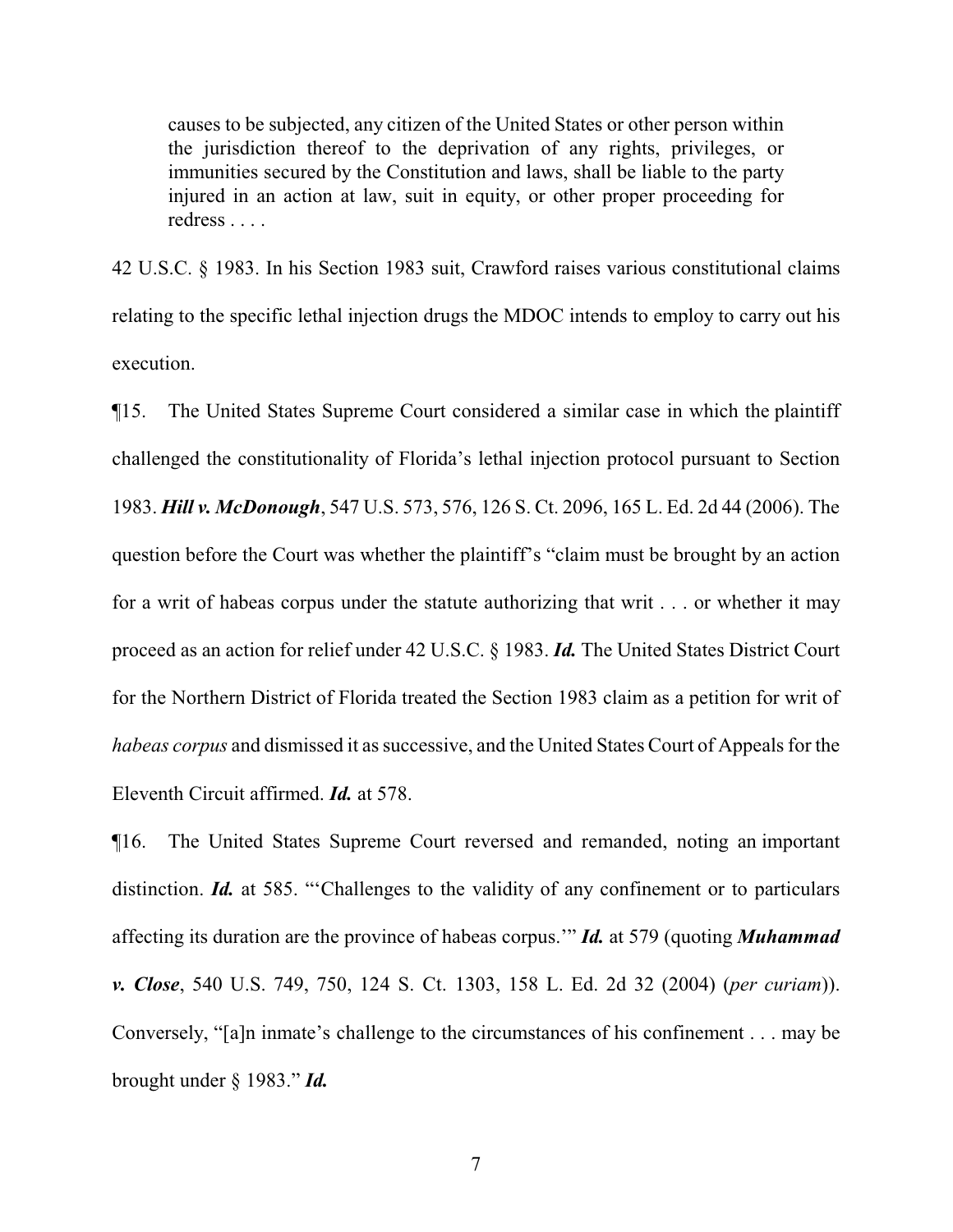causes to be subjected, any citizen of the United States or other person within the jurisdiction thereof to the deprivation of any rights, privileges, or immunities secured by the Constitution and laws, shall be liable to the party injured in an action at law, suit in equity, or other proper proceeding for redress . . . .

42 U.S.C. § 1983. In his Section 1983 suit, Crawford raises various constitutional claims relating to the specific lethal injection drugs the MDOC intends to employ to carry out his execution.

¶15. The United States Supreme Court considered a similar case in which the plaintiff challenged the constitutionality of Florida's lethal injection protocol pursuant to Section 1983. *Hill v. McDonough*, 547 U.S. 573, 576, 126 S. Ct. 2096, 165 L. Ed. 2d 44 (2006). The question before the Court was whether the plaintiff's "claim must be brought by an action for a writ of habeas corpus under the statute authorizing that writ . . . or whether it may proceed as an action for relief under 42 U.S.C. § 1983. *Id.* The United States District Court for the Northern District of Florida treated the Section 1983 claim as a petition for writ of *habeas corpus* and dismissed it as successive, and the United States Court of Appeals for the Eleventh Circuit affirmed. *Id.* at 578.

¶16. The United States Supreme Court reversed and remanded, noting an important distinction. *Id.* at 585. "Challenges to the validity of any confinement or to particulars affecting its duration are the province of habeas corpus.'" *Id.* at 579 (quoting *Muhammad v. Close*, 540 U.S. 749, 750, 124 S. Ct. 1303, 158 L. Ed. 2d 32 (2004) (*per curiam*)). Conversely, "[a]n inmate's challenge to the circumstances of his confinement . . . may be brought under § 1983." *Id.*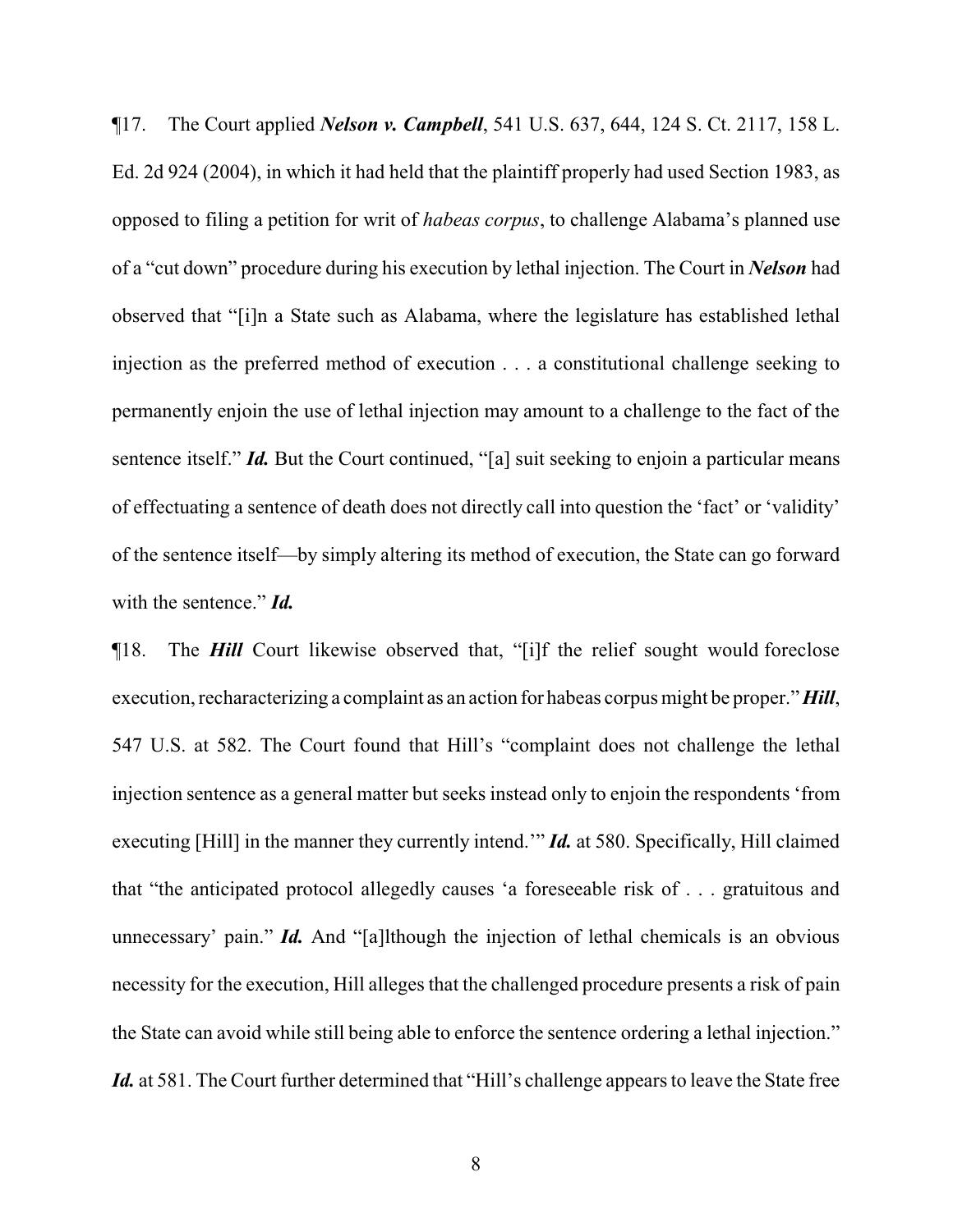¶17. The Court applied *Nelson v. Campbell*, 541 U.S. 637, 644, 124 S. Ct. 2117, 158 L. Ed. 2d 924 (2004), in which it had held that the plaintiff properly had used Section 1983, as opposed to filing a petition for writ of *habeas corpus*, to challenge Alabama's planned use of a "cut down" procedure during his execution by lethal injection. The Court in *Nelson* had observed that "[i]n a State such as Alabama, where the legislature has established lethal injection as the preferred method of execution . . . a constitutional challenge seeking to permanently enjoin the use of lethal injection may amount to a challenge to the fact of the sentence itself." *Id.* But the Court continued, "[a] suit seeking to enjoin a particular means of effectuating a sentence of death does not directly call into question the 'fact' or 'validity' of the sentence itself—by simply altering its method of execution, the State can go forward with the sentence." *Id.*

¶18. The *Hill* Court likewise observed that, "[i]f the relief sought would foreclose execution, recharacterizing a complaint as an action for habeas corpus might be proper." *Hill*, 547 U.S. at 582. The Court found that Hill's "complaint does not challenge the lethal injection sentence as a general matter but seeks instead only to enjoin the respondents 'from executing [Hill] in the manner they currently intend.'" *Id.* at 580. Specifically, Hill claimed that "the anticipated protocol allegedly causes 'a foreseeable risk of . . . gratuitous and unnecessary' pain." *Id.* And "[a]lthough the injection of lethal chemicals is an obvious necessity for the execution, Hill alleges that the challenged procedure presents a risk of pain the State can avoid while still being able to enforce the sentence ordering a lethal injection." *Id.* at 581. The Court further determined that "Hill's challenge appears to leave the State free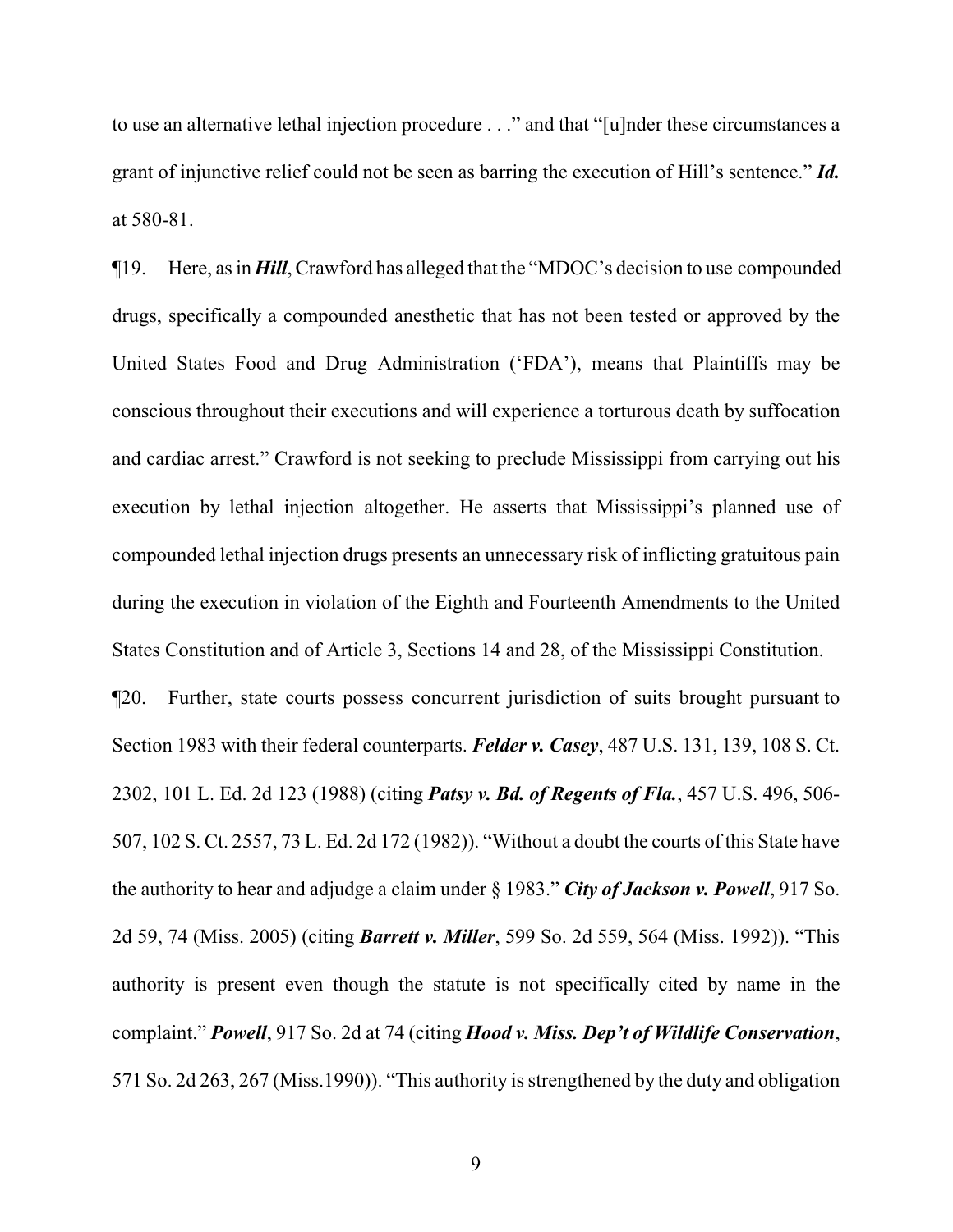to use an alternative lethal injection procedure . . ." and that "[u]nder these circumstances a grant of injunctive relief could not be seen as barring the execution of Hill's sentence." *Id.*  at 580-81.

¶19. Here, as in *Hill*, Crawford has alleged that the "MDOC's decision to use compounded drugs, specifically a compounded anesthetic that has not been tested or approved by the United States Food and Drug Administration ('FDA'), means that Plaintiffs may be conscious throughout their executions and will experience a torturous death by suffocation and cardiac arrest." Crawford is not seeking to preclude Mississippi from carrying out his execution by lethal injection altogether. He asserts that Mississippi's planned use of compounded lethal injection drugs presents an unnecessary risk of inflicting gratuitous pain during the execution in violation of the Eighth and Fourteenth Amendments to the United States Constitution and of Article 3, Sections 14 and 28, of the Mississippi Constitution.

¶20. Further, state courts possess concurrent jurisdiction of suits brought pursuant to Section 1983 with their federal counterparts. *Felder v. Casey*, 487 U.S. 131, 139, 108 S. Ct. 2302, 101 L. Ed. 2d 123 (1988) (citing *Patsy v. Bd. of Regents of Fla.*, 457 U.S. 496, 506- 507, 102 S. Ct. 2557, 73 L. Ed. 2d 172 (1982)). "Without a doubt the courts of this State have the authority to hear and adjudge a claim under § 1983." *City of Jackson v. Powell*, 917 So. 2d 59, 74 (Miss. 2005) (citing *Barrett v. Miller*, 599 So. 2d 559, 564 (Miss. 1992)). "This authority is present even though the statute is not specifically cited by name in the complaint." *Powell*, 917 So. 2d at 74 (citing *Hood v. Miss. Dep't of Wildlife Conservation*, 571 So. 2d 263, 267 (Miss.1990)). "This authority is strengthened by the duty and obligation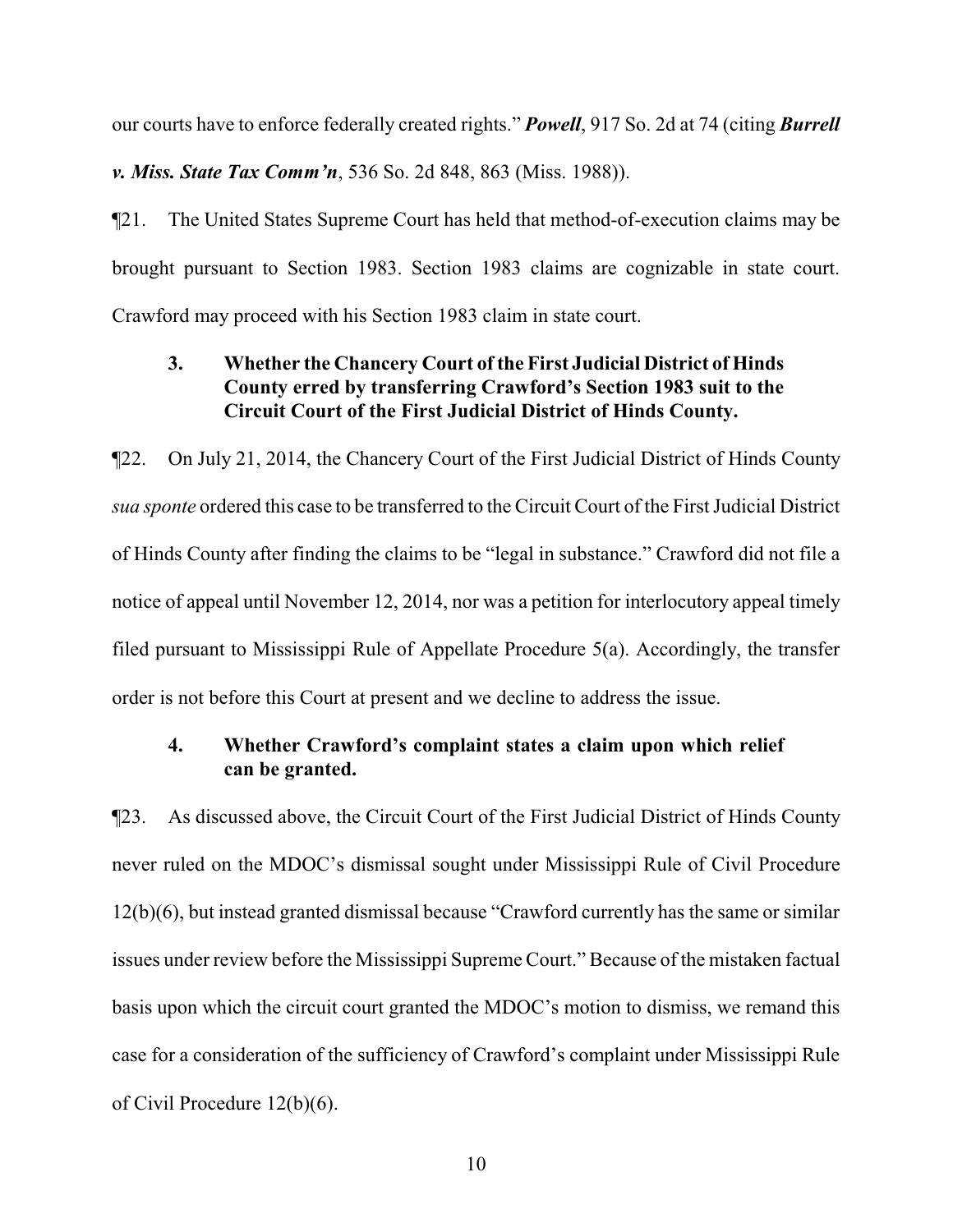our courts have to enforce federally created rights." *Powell*, 917 So. 2d at 74 (citing *Burrell*

*v. Miss. State Tax Comm'n*, 536 So. 2d 848, 863 (Miss. 1988)).

¶21. The United States Supreme Court has held that method-of-execution claims may be brought pursuant to Section 1983. Section 1983 claims are cognizable in state court. Crawford may proceed with his Section 1983 claim in state court.

# **3. Whether the Chancery Court of the First Judicial District of Hinds County erred by transferring Crawford's Section 1983 suit to the Circuit Court of the First Judicial District of Hinds County.**

¶22. On July 21, 2014, the Chancery Court of the First Judicial District of Hinds County *sua sponte* ordered this case to be transferred to the Circuit Court of the First Judicial District of Hinds County after finding the claims to be "legal in substance." Crawford did not file a notice of appeal until November 12, 2014, nor was a petition for interlocutory appeal timely filed pursuant to Mississippi Rule of Appellate Procedure 5(a). Accordingly, the transfer order is not before this Court at present and we decline to address the issue.

# **4. Whether Crawford's complaint states a claim upon which relief can be granted.**

¶23. As discussed above, the Circuit Court of the First Judicial District of Hinds County never ruled on the MDOC's dismissal sought under Mississippi Rule of Civil Procedure 12(b)(6), but instead granted dismissal because "Crawford currently has the same or similar issues under review before the Mississippi Supreme Court." Because of the mistaken factual basis upon which the circuit court granted the MDOC's motion to dismiss, we remand this case for a consideration of the sufficiency of Crawford's complaint under Mississippi Rule of Civil Procedure 12(b)(6).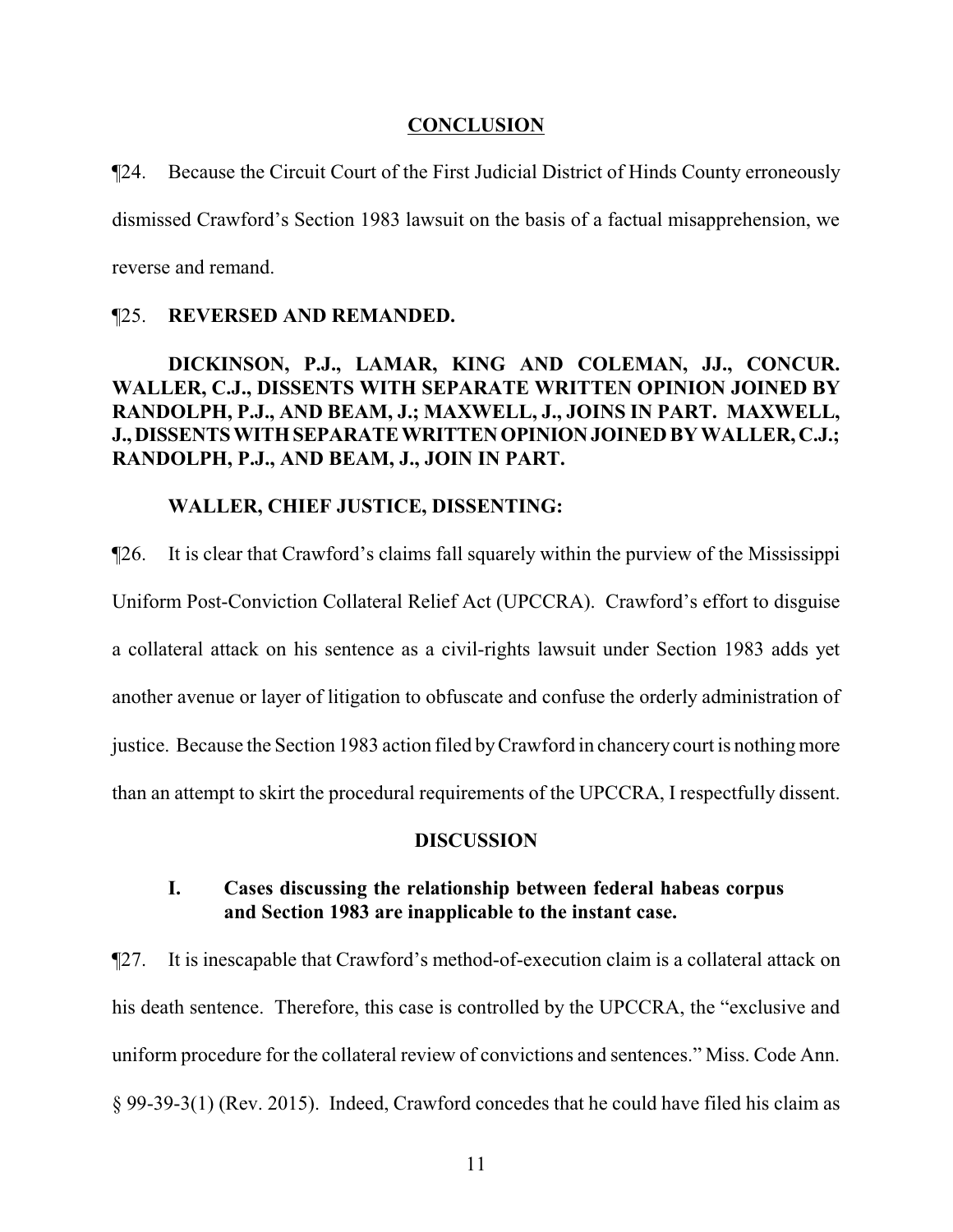#### **CONCLUSION**

¶24. Because the Circuit Court of the First Judicial District of Hinds County erroneously dismissed Crawford's Section 1983 lawsuit on the basis of a factual misapprehension, we reverse and remand.

### ¶25. **REVERSED AND REMANDED.**

# **DICKINSON, P.J., LAMAR, KING AND COLEMAN, JJ., CONCUR. WALLER, C.J., DISSENTS WITH SEPARATE WRITTEN OPINION JOINED BY RANDOLPH, P.J., AND BEAM, J.; MAXWELL, J., JOINS IN PART. MAXWELL, J.,DISSENTSWITHSEPARATEWRITTENOPINIONJOINED BY WALLER, C.J.; RANDOLPH, P.J., AND BEAM, J., JOIN IN PART.**

### **WALLER, CHIEF JUSTICE, DISSENTING:**

¶26. It is clear that Crawford's claims fall squarely within the purview of the Mississippi Uniform Post-Conviction Collateral Relief Act (UPCCRA). Crawford's effort to disguise a collateral attack on his sentence as a civil-rights lawsuit under Section 1983 adds yet another avenue or layer of litigation to obfuscate and confuse the orderly administration of justice. Because the Section 1983 action filed byCrawford in chancery court is nothing more than an attempt to skirt the procedural requirements of the UPCCRA, I respectfully dissent.

#### **DISCUSSION**

## **I. Cases discussing the relationship between federal habeas corpus and Section 1983 are inapplicable to the instant case.**

¶27. It is inescapable that Crawford's method-of-execution claim is a collateral attack on his death sentence. Therefore, this case is controlled by the UPCCRA, the "exclusive and uniform procedure for the collateral review of convictions and sentences." Miss. Code Ann. § 99-39-3(1) (Rev. 2015). Indeed, Crawford concedes that he could have filed his claim as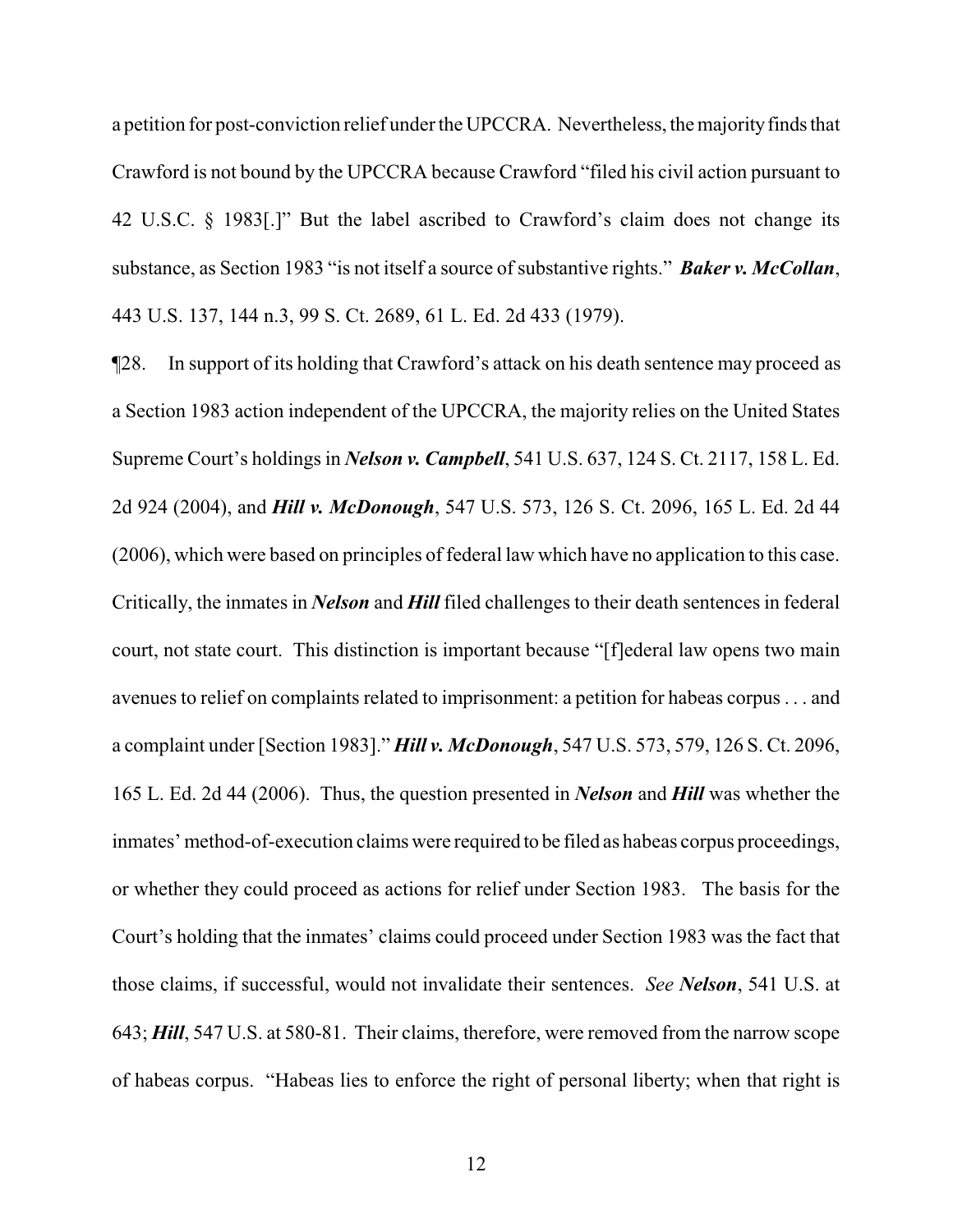a petition for post-conviction relief under the UPCCRA. Nevertheless, the majority finds that Crawford is not bound by the UPCCRA because Crawford "filed his civil action pursuant to 42 U.S.C. § 1983[.]" But the label ascribed to Crawford's claim does not change its substance, as Section 1983 "is not itself a source of substantive rights." **Baker v. McCollan**, 443 U.S. 137, 144 n.3, 99 S. Ct. 2689, 61 L. Ed. 2d 433 (1979).

¶28. In support of its holding that Crawford's attack on his death sentence may proceed as a Section 1983 action independent of the UPCCRA, the majority relies on the United States Supreme Court's holdings in *Nelson v. Campbell*, 541 U.S. 637, 124 S. Ct. 2117, 158 L. Ed. 2d 924 (2004), and *Hill v. McDonough*, 547 U.S. 573, 126 S. Ct. 2096, 165 L. Ed. 2d 44 (2006), which were based on principles of federal law which have no application to this case. Critically, the inmates in *Nelson* and *Hill* filed challenges to their death sentences in federal court, not state court. This distinction is important because "[f]ederal law opens two main avenues to relief on complaints related to imprisonment: a petition for habeas corpus . . . and a complaint under [Section 1983]." *Hill v. McDonough*, 547 U.S. 573, 579, 126 S. Ct. 2096, 165 L. Ed. 2d 44 (2006). Thus, the question presented in *Nelson* and *Hill* was whether the inmates' method-of-execution claims were required to be filed as habeas corpus proceedings, or whether they could proceed as actions for relief under Section 1983. The basis for the Court's holding that the inmates' claims could proceed under Section 1983 was the fact that those claims, if successful, would not invalidate their sentences. *See Nelson*, 541 U.S. at 643; *Hill*, 547 U.S. at 580-81. Their claims, therefore, were removed from the narrow scope of habeas corpus. "Habeas lies to enforce the right of personal liberty; when that right is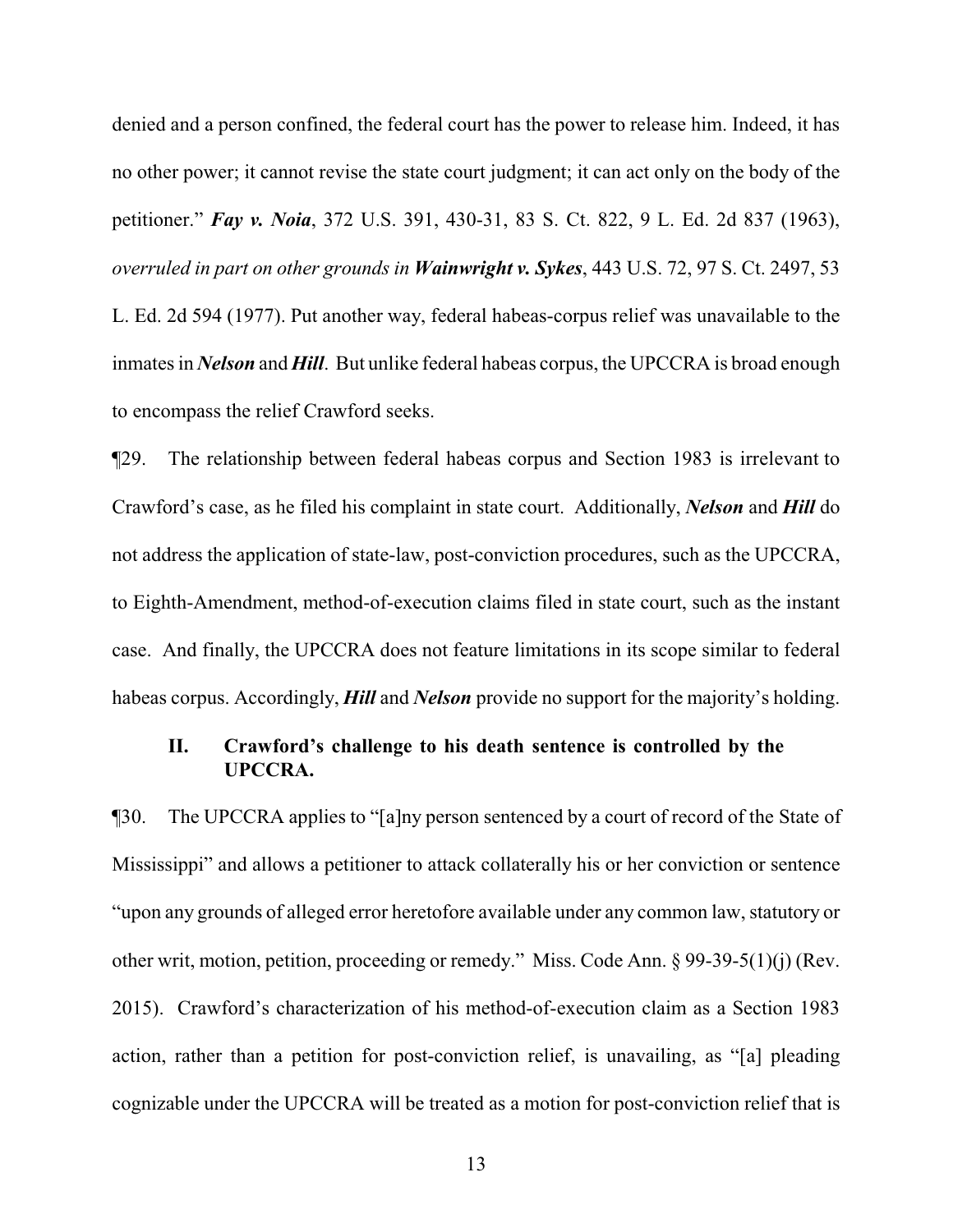denied and a person confined, the federal court has the power to release him. Indeed, it has no other power; it cannot revise the state court judgment; it can act only on the body of the petitioner." *Fay v. Noia*, 372 U.S. 391, 430-31, 83 S. Ct. 822, 9 L. Ed. 2d 837 (1963), *overruled in part on other grounds in Wainwright v. Sykes*, 443 U.S. 72, 97 S. Ct. 2497, 53 L. Ed. 2d 594 (1977). Put another way, federal habeas-corpus relief was unavailable to the inmates in *Nelson* and *Hill*. But unlike federal habeas corpus, the UPCCRA is broad enough to encompass the relief Crawford seeks.

¶29. The relationship between federal habeas corpus and Section 1983 is irrelevant to Crawford's case, as he filed his complaint in state court. Additionally, *Nelson* and *Hill* do not address the application of state-law, post-conviction procedures, such as the UPCCRA, to Eighth-Amendment, method-of-execution claims filed in state court, such as the instant case. And finally, the UPCCRA does not feature limitations in its scope similar to federal habeas corpus. Accordingly, *Hill* and *Nelson* provide no support for the majority's holding.

## **II. Crawford's challenge to his death sentence is controlled by the UPCCRA.**

¶30. The UPCCRA applies to "[a]ny person sentenced by a court of record of the State of Mississippi" and allows a petitioner to attack collaterally his or her conviction or sentence "upon any grounds of alleged error heretofore available under any common law, statutory or other writ, motion, petition, proceeding or remedy." Miss. Code Ann. § 99-39-5(1)(j) (Rev. 2015). Crawford's characterization of his method-of-execution claim as a Section 1983 action, rather than a petition for post-conviction relief, is unavailing, as "[a] pleading cognizable under the UPCCRA will be treated as a motion for post-conviction relief that is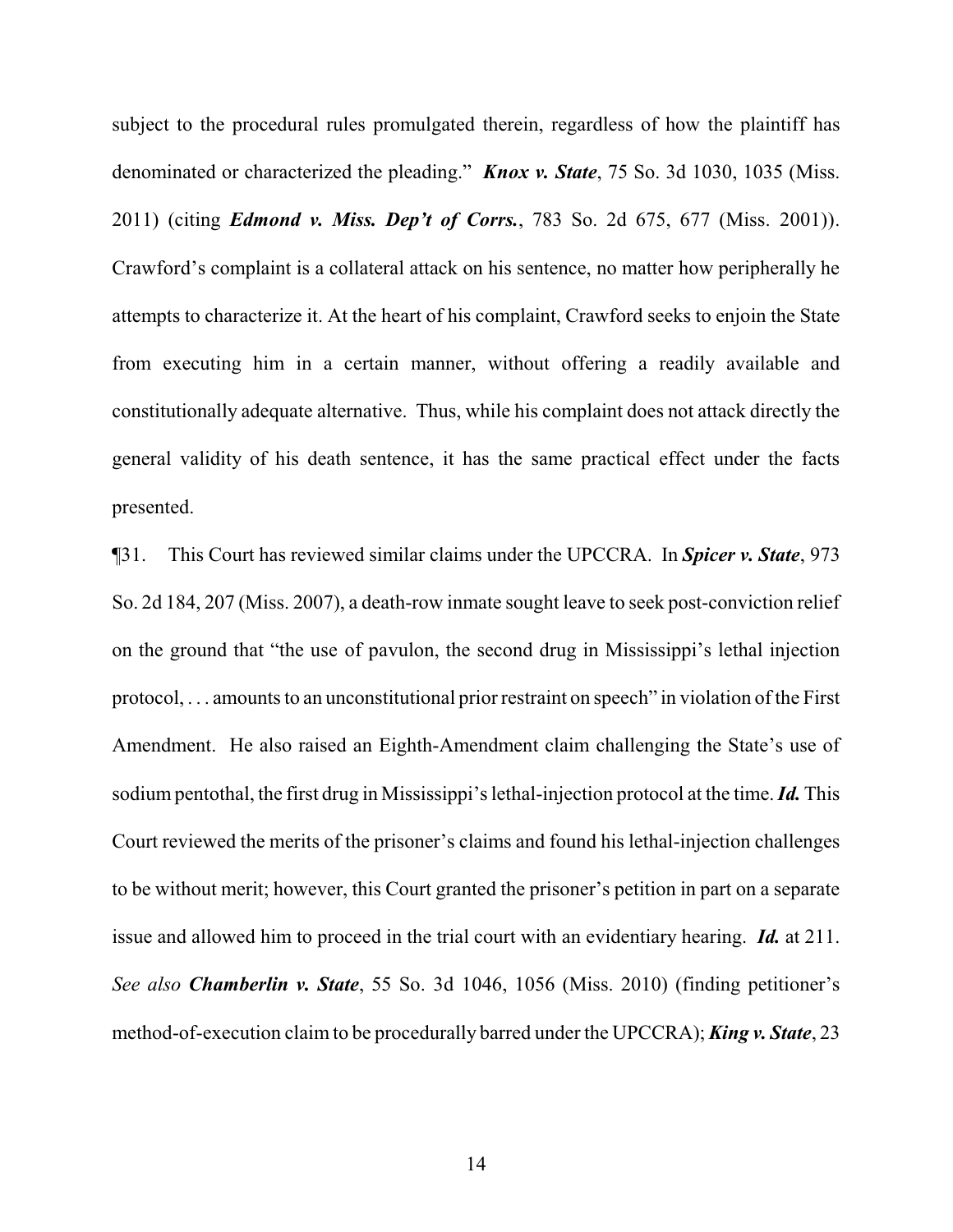subject to the procedural rules promulgated therein, regardless of how the plaintiff has denominated or characterized the pleading." *Knox v. State*, 75 So. 3d 1030, 1035 (Miss. 2011) (citing *Edmond v. Miss. Dep't of Corrs.*, 783 So. 2d 675, 677 (Miss. 2001)). Crawford's complaint is a collateral attack on his sentence, no matter how peripherally he attempts to characterize it. At the heart of his complaint, Crawford seeks to enjoin the State from executing him in a certain manner, without offering a readily available and constitutionally adequate alternative. Thus, while his complaint does not attack directly the general validity of his death sentence, it has the same practical effect under the facts presented.

¶31. This Court has reviewed similar claims under the UPCCRA. In *Spicer v. State*, 973 So. 2d 184, 207 (Miss. 2007), a death-row inmate sought leave to seek post-conviction relief on the ground that "the use of pavulon, the second drug in Mississippi's lethal injection protocol, . . . amounts to an unconstitutional prior restraint on speech" in violation of the First Amendment. He also raised an Eighth-Amendment claim challenging the State's use of sodium pentothal, the first drug in Mississippi's lethal-injection protocol at the time. *Id.* This Court reviewed the merits of the prisoner's claims and found his lethal-injection challenges to be without merit; however, this Court granted the prisoner's petition in part on a separate issue and allowed him to proceed in the trial court with an evidentiary hearing. *Id.* at 211. *See also Chamberlin v. State*, 55 So. 3d 1046, 1056 (Miss. 2010) (finding petitioner's method-of-execution claim to be procedurally barred under the UPCCRA); *King v. State*, 23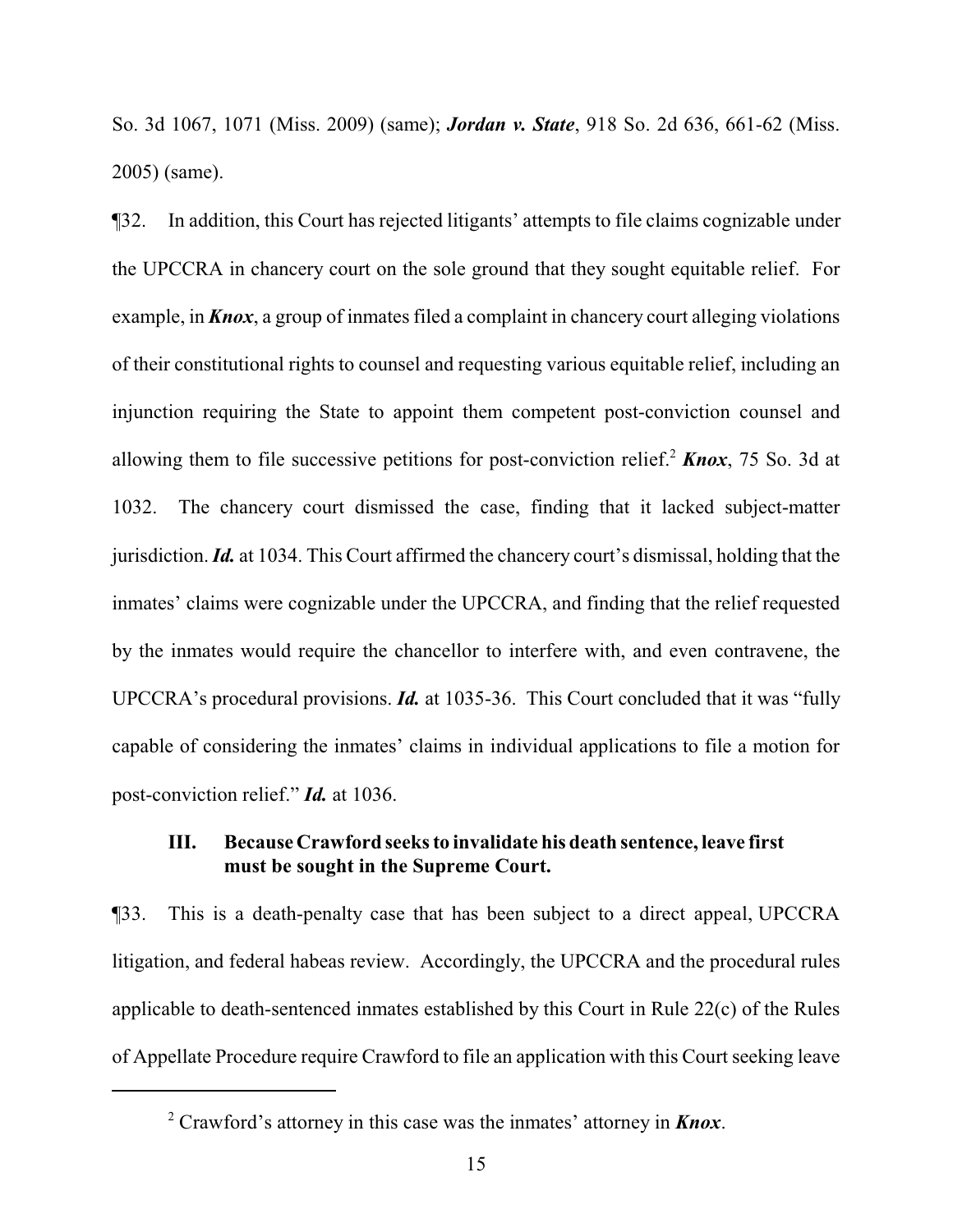So. 3d 1067, 1071 (Miss. 2009) (same); *Jordan v. State*, 918 So. 2d 636, 661-62 (Miss. 2005) (same).

¶32. In addition, this Court has rejected litigants' attempts to file claims cognizable under the UPCCRA in chancery court on the sole ground that they sought equitable relief. For example, in *Knox*, a group of inmates filed a complaint in chancery court alleging violations of their constitutional rights to counsel and requesting various equitable relief, including an injunction requiring the State to appoint them competent post-conviction counsel and allowing them to file successive petitions for post-conviction relief. <sup>2</sup> *Knox*, 75 So. 3d at 1032. The chancery court dismissed the case, finding that it lacked subject-matter jurisdiction. *Id.* at 1034. This Court affirmed the chancery court's dismissal, holding that the inmates' claims were cognizable under the UPCCRA, and finding that the relief requested by the inmates would require the chancellor to interfere with, and even contravene, the UPCCRA's procedural provisions. *Id.* at 1035-36. This Court concluded that it was "fully capable of considering the inmates' claims in individual applications to file a motion for post-conviction relief." *Id.* at 1036.

## **III. Because Crawford seeks to invalidate his death sentence, leave first must be sought in the Supreme Court.**

¶33. This is a death-penalty case that has been subject to a direct appeal, UPCCRA litigation, and federal habeas review. Accordingly, the UPCCRA and the procedural rules applicable to death-sentenced inmates established by this Court in Rule 22(c) of the Rules of Appellate Procedure require Crawford to file an application with this Court seeking leave

<sup>2</sup> Crawford's attorney in this case was the inmates' attorney in *Knox*.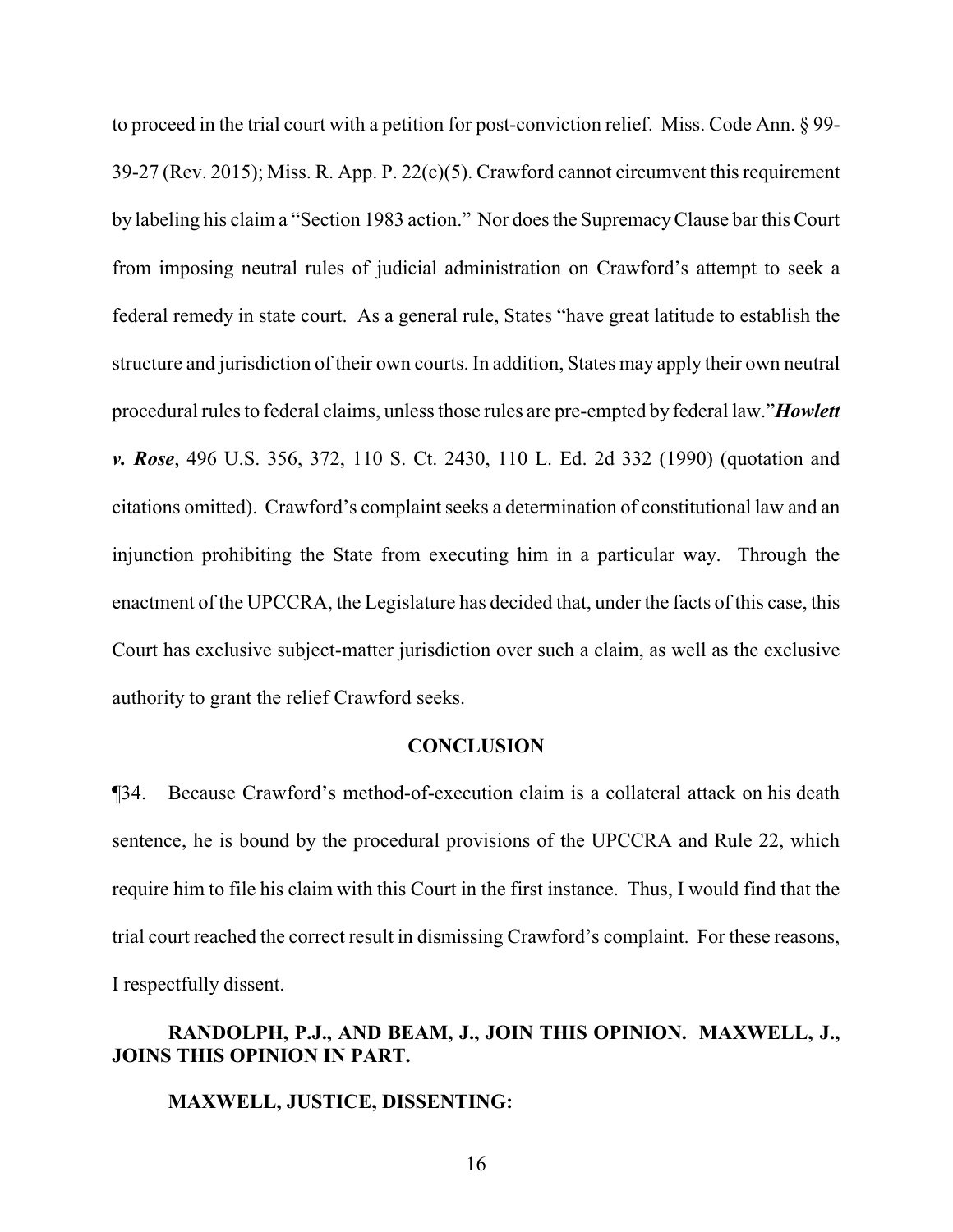to proceed in the trial court with a petition for post-conviction relief. Miss. Code Ann. § 99- 39-27 (Rev. 2015); Miss. R. App. P. 22(c)(5). Crawford cannot circumvent this requirement by labeling his claim a "Section 1983 action." Nor does the SupremacyClause bar this Court from imposing neutral rules of judicial administration on Crawford's attempt to seek a federal remedy in state court. As a general rule, States "have great latitude to establish the structure and jurisdiction of their own courts. In addition, States may apply their own neutral procedural rules to federal claims, unless those rules are pre-empted by federal law."*Howlett v. Rose*, 496 U.S. 356, 372, 110 S. Ct. 2430, 110 L. Ed. 2d 332 (1990) (quotation and citations omitted). Crawford's complaint seeks a determination of constitutional law and an injunction prohibiting the State from executing him in a particular way. Through the enactment of the UPCCRA, the Legislature has decided that, under the facts of this case, this Court has exclusive subject-matter jurisdiction over such a claim, as well as the exclusive authority to grant the relief Crawford seeks.

#### **CONCLUSION**

¶34. Because Crawford's method-of-execution claim is a collateral attack on his death sentence, he is bound by the procedural provisions of the UPCCRA and Rule 22, which require him to file his claim with this Court in the first instance. Thus, I would find that the trial court reached the correct result in dismissing Crawford's complaint. For these reasons, I respectfully dissent.

# **RANDOLPH, P.J., AND BEAM, J., JOIN THIS OPINION. MAXWELL, J., JOINS THIS OPINION IN PART.**

### **MAXWELL, JUSTICE, DISSENTING:**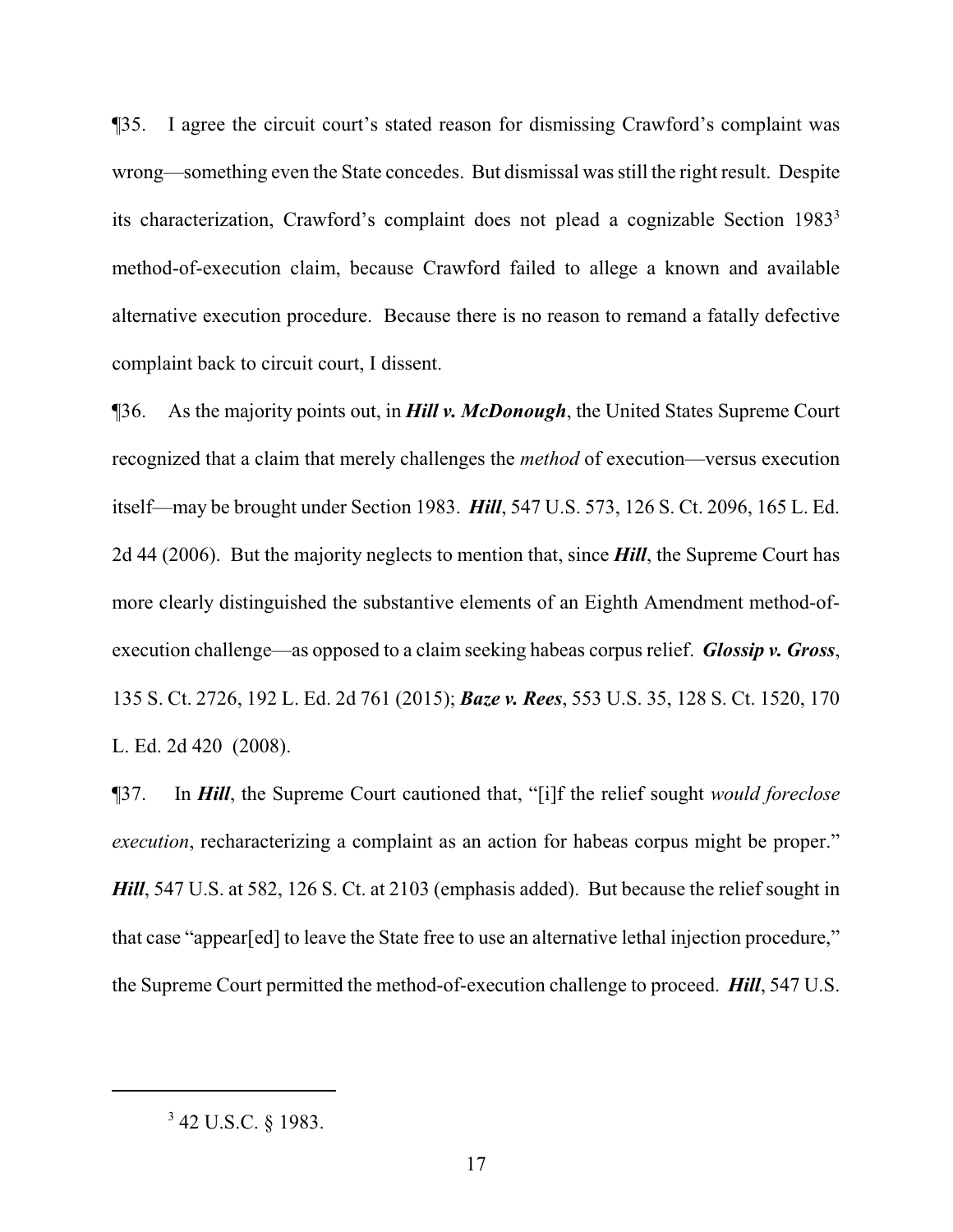¶35. I agree the circuit court's stated reason for dismissing Crawford's complaint was wrong—something even the State concedes. But dismissal was still the right result. Despite its characterization, Crawford's complaint does not plead a cognizable Section 1983<sup>3</sup> method-of-execution claim, because Crawford failed to allege a known and available alternative execution procedure. Because there is no reason to remand a fatally defective complaint back to circuit court, I dissent.

¶36. As the majority points out, in *Hill v. McDonough*, the United States Supreme Court recognized that a claim that merely challenges the *method* of execution—versus execution itself—may be brought under Section 1983. *Hill*, 547 U.S. 573, 126 S. Ct. 2096, 165 L. Ed. 2d 44 (2006). But the majority neglects to mention that, since *Hill*, the Supreme Court has more clearly distinguished the substantive elements of an Eighth Amendment method-ofexecution challenge—as opposed to a claim seeking habeas corpus relief. *Glossip v. Gross*, 135 S. Ct. 2726, 192 L. Ed. 2d 761 (2015); *Baze v. Rees*, 553 U.S. 35, 128 S. Ct. 1520, 170 L. Ed. 2d 420 (2008).

¶37. In *Hill*, the Supreme Court cautioned that, "[i]f the relief sought *would foreclose execution*, recharacterizing a complaint as an action for habeas corpus might be proper." *Hill*, 547 U.S. at 582, 126 S. Ct. at 2103 (emphasis added). But because the relief sought in that case "appear[ed] to leave the State free to use an alternative lethal injection procedure," the Supreme Court permitted the method-of-execution challenge to proceed. *Hill*, 547 U.S.

 $3$  42 U.S.C. § 1983.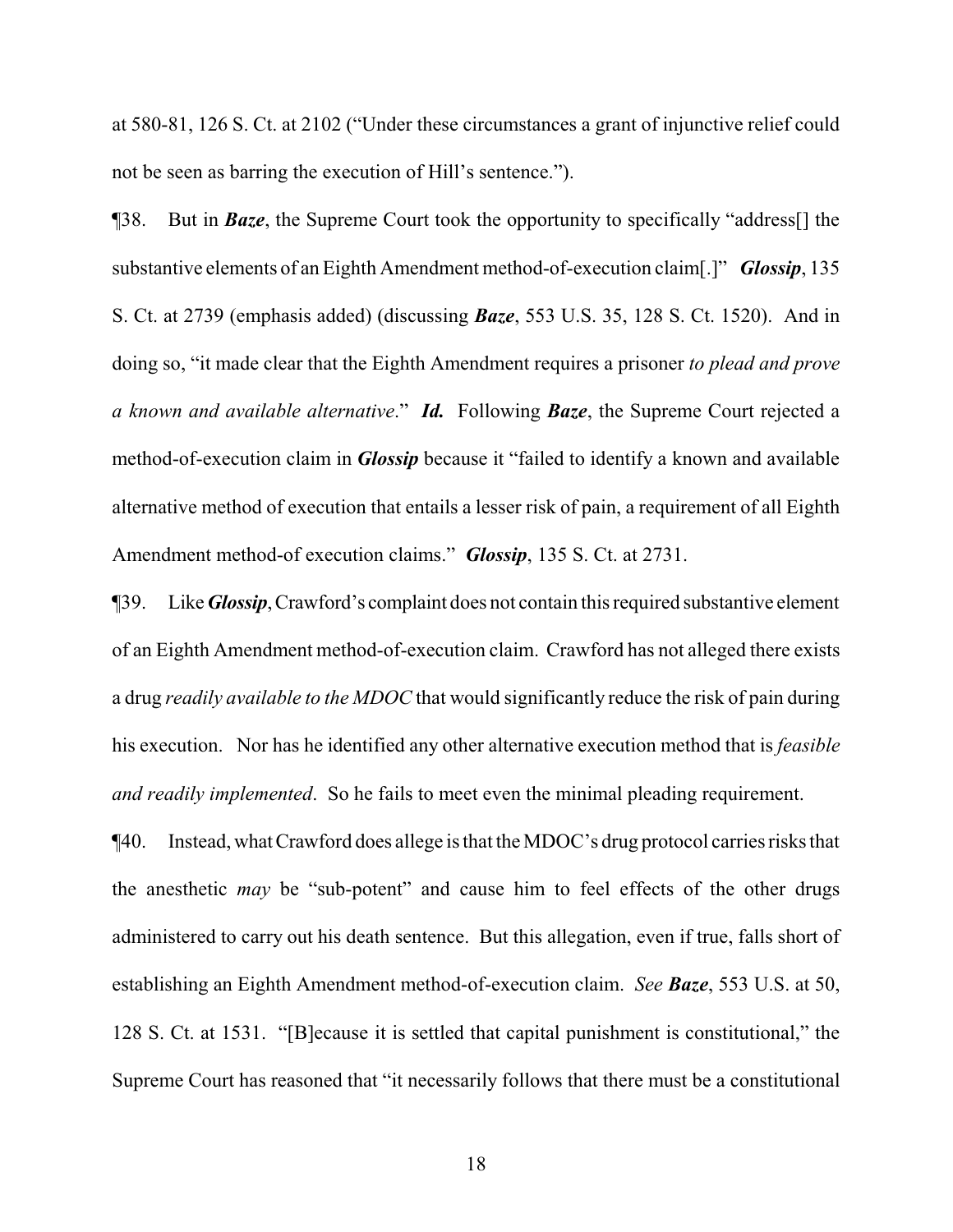at 580-81, 126 S. Ct. at 2102 ("Under these circumstances a grant of injunctive relief could not be seen as barring the execution of Hill's sentence.").

¶38. But in *Baze*, the Supreme Court took the opportunity to specifically "address[] the substantive elements of an Eighth Amendment method-of-execution claim[.]" *Glossip*, 135 S. Ct. at 2739 (emphasis added) (discussing *Baze*, 553 U.S. 35, 128 S. Ct. 1520). And in doing so, "it made clear that the Eighth Amendment requires a prisoner *to plead and prove a known and available alternative*." *Id.* Following *Baze*, the Supreme Court rejected a method-of-execution claim in *Glossip* because it "failed to identify a known and available alternative method of execution that entails a lesser risk of pain, a requirement of all Eighth Amendment method-of execution claims." *Glossip*, 135 S. Ct. at 2731.

¶39. Like*Glossip*,Crawford's complaint does not contain this required substantive element of an Eighth Amendment method-of-execution claim. Crawford has not alleged there exists a drug *readily available to the MDOC* that would significantly reduce the risk of pain during his execution. Nor has he identified any other alternative execution method that is *feasible and readily implemented*. So he fails to meet even the minimal pleading requirement.

¶40. Instead, whatCrawford does allege is that the MDOC's drug protocol carries risks that the anesthetic *may* be "sub-potent" and cause him to feel effects of the other drugs administered to carry out his death sentence. But this allegation, even if true, falls short of establishing an Eighth Amendment method-of-execution claim. *See Baze*, 553 U.S. at 50, 128 S. Ct. at 1531. "[B]ecause it is settled that capital punishment is constitutional," the Supreme Court has reasoned that "it necessarily follows that there must be a constitutional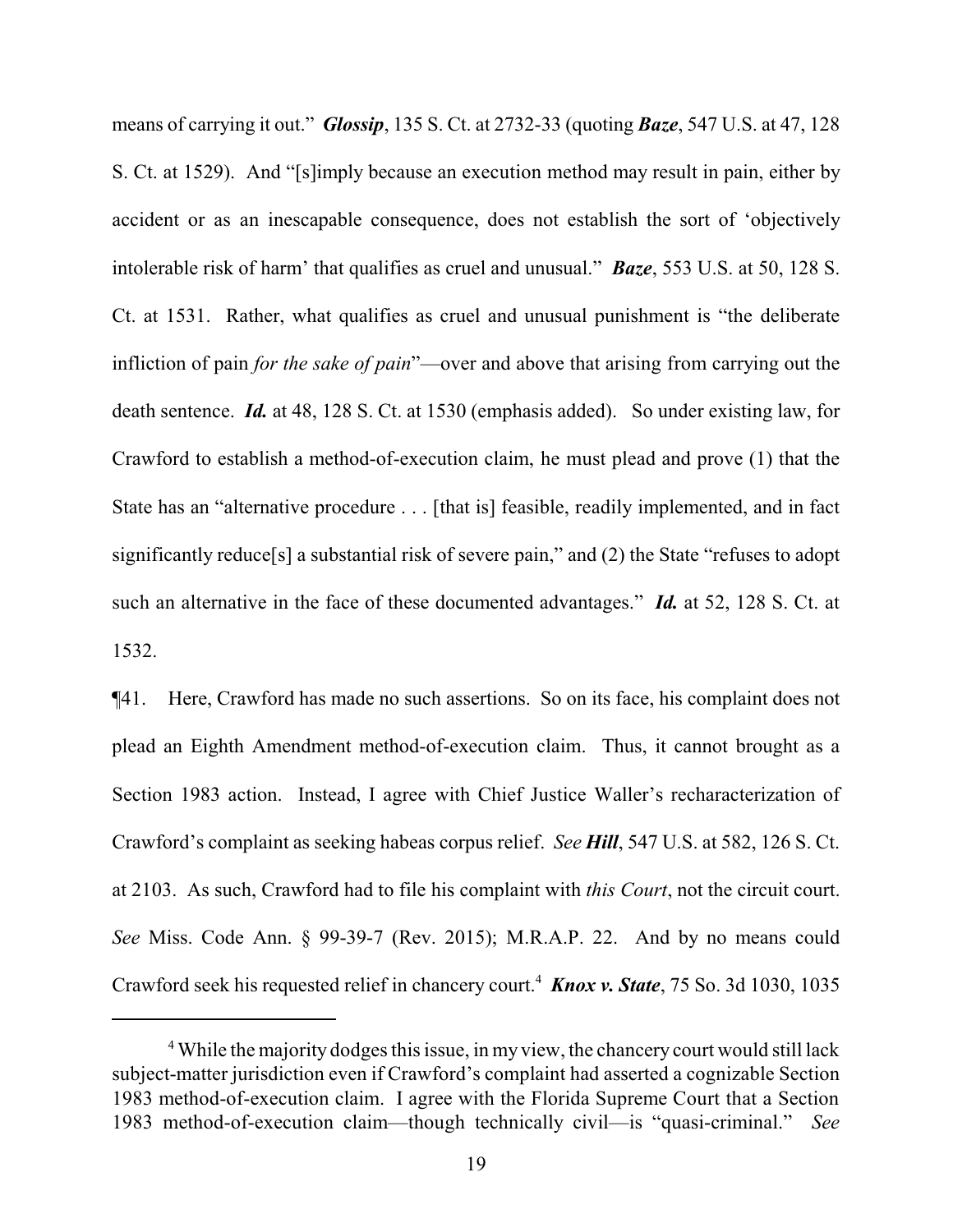means of carrying it out." *Glossip*, 135 S. Ct. at 2732-33 (quoting *Baze*, 547 U.S. at 47, 128 S. Ct. at 1529). And "[s]imply because an execution method may result in pain, either by accident or as an inescapable consequence, does not establish the sort of 'objectively intolerable risk of harm' that qualifies as cruel and unusual." *Baze*, 553 U.S. at 50, 128 S. Ct. at 1531. Rather, what qualifies as cruel and unusual punishment is "the deliberate infliction of pain *for the sake of pain*"—over and above that arising from carrying out the death sentence. *Id.* at 48, 128 S. Ct. at 1530 (emphasis added). So under existing law, for Crawford to establish a method-of-execution claim, he must plead and prove (1) that the State has an "alternative procedure . . . [that is] feasible, readily implemented, and in fact significantly reduce[s] a substantial risk of severe pain," and (2) the State "refuses to adopt such an alternative in the face of these documented advantages." *Id.* at 52, 128 S. Ct. at 1532.

¶41. Here, Crawford has made no such assertions. So on its face, his complaint does not plead an Eighth Amendment method-of-execution claim. Thus, it cannot brought as a Section 1983 action. Instead, I agree with Chief Justice Waller's recharacterization of Crawford's complaint as seeking habeas corpus relief. *See Hill*, 547 U.S. at 582, 126 S. Ct. at 2103. As such, Crawford had to file his complaint with *this Court*, not the circuit court. *See* Miss. Code Ann. § 99-39-7 (Rev. 2015); M.R.A.P. 22. And by no means could Crawford seek his requested relief in chancery court.<sup>4</sup> *Knox v. State*, 75 So. 3d 1030, 1035

<sup>&</sup>lt;sup>4</sup> While the majority dodges this issue, in my view, the chancery court would still lack subject-matter jurisdiction even if Crawford's complaint had asserted a cognizable Section 1983 method-of-execution claim. I agree with the Florida Supreme Court that a Section 1983 method-of-execution claim—though technically civil—is "quasi-criminal." *See*